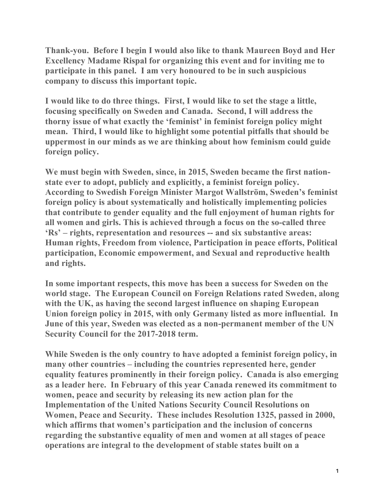**Thank-you. Before I begin I would also like to thank Maureen Boyd and Her Excellency Madame Rispal for organizing this event and for inviting me to participate in this panel. I am very honoured to be in such auspicious company to discuss this important topic.**

**I would like to do three things. First, I would like to set the stage a little, focusing specifically on Sweden and Canada. Second, I will address the thorny issue of what exactly the 'feminist' in feminist foreign policy might mean. Third, I would like to highlight some potential pitfalls that should be uppermost in our minds as we are thinking about how feminism could guide foreign policy.** 

**We must begin with Sweden, since, in 2015, Sweden became the first nationstate ever to adopt, publicly and explicitly, a feminist foreign policy. According to Swedish Foreign Minister Margot Wallström, Sweden's feminist foreign policy is about systematically and holistically implementing policies that contribute to gender equality and the full enjoyment of human rights for all women and girls. This is achieved through a focus on the so-called three 'Rs' – rights, representation and resources -- and six substantive areas: Human rights, Freedom from violence, Participation in peace efforts, Political participation, Economic empowerment, and Sexual and reproductive health and rights.**

**In some important respects, this move has been a success for Sweden on the world stage. The European Council on Foreign Relations rated Sweden, along with the UK, as having the second largest influence on shaping European Union foreign policy in 2015, with only Germany listed as more influential. In June of this year, Sweden was elected as a non-permanent member of the UN Security Council for the 2017-2018 term.** 

**While Sweden is the only country to have adopted a feminist foreign policy, in many other countries – including the countries represented here, gender equality features prominently in their foreign policy. Canada is also emerging as a leader here. In February of this year Canada renewed its commitment to women, peace and security by releasing its new action plan for the Implementation of the United Nations Security Council Resolutions on Women, Peace and Security. These includes Resolution 1325, passed in 2000, which affirms that women's participation and the inclusion of concerns regarding the substantive equality of men and women at all stages of peace operations are integral to the development of stable states built on a**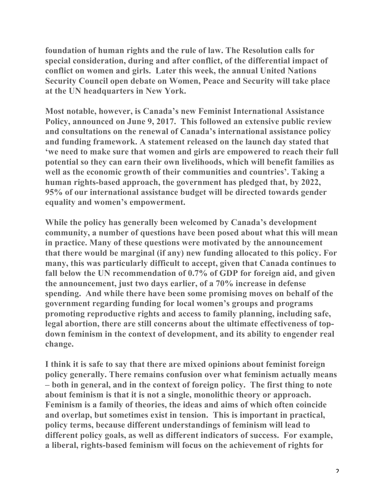**foundation of human rights and the rule of law. The Resolution calls for special consideration, during and after conflict, of the differential impact of conflict on women and girls. Later this week, the annual United Nations Security Council open debate on Women, Peace and Security will take place at the UN headquarters in New York.**

**Most notable, however, is Canada's new Feminist International Assistance Policy, announced on June 9, 2017. This followed an extensive public review and consultations on the renewal of Canada's international assistance policy and funding framework. A statement released on the launch day stated that 'we need to make sure that women and girls are empowered to reach their full potential so they can earn their own livelihoods, which will benefit families as well as the economic growth of their communities and countries'. Taking a human rights-based approach, the government has pledged that, by 2022, 95% of our international assistance budget will be directed towards gender equality and women's empowerment.** 

**While the policy has generally been welcomed by Canada's development community, a number of questions have been posed about what this will mean in practice. Many of these questions were motivated by the announcement that there would be marginal (if any) new funding allocated to this policy. For many, this was particularly difficult to accept, given that Canada continues to fall below the UN recommendation of 0.7% of GDP for foreign aid, and given the announcement, just two days earlier, of a 70% increase in defense spending. And while there have been some promising moves on behalf of the government regarding funding for local women's groups and programs promoting reproductive rights and access to family planning, including safe, legal abortion, there are still concerns about the ultimate effectiveness of topdown feminism in the context of development, and its ability to engender real change.** 

**I think it is safe to say that there are mixed opinions about feminist foreign policy generally. There remains confusion over what feminism actually means – both in general, and in the context of foreign policy. The first thing to note about feminism is that it is not a single, monolithic theory or approach. Feminism is a family of theories, the ideas and aims of which often coincide and overlap, but sometimes exist in tension. This is important in practical, policy terms, because different understandings of feminism will lead to different policy goals, as well as different indicators of success. For example, a liberal, rights-based feminism will focus on the achievement of rights for**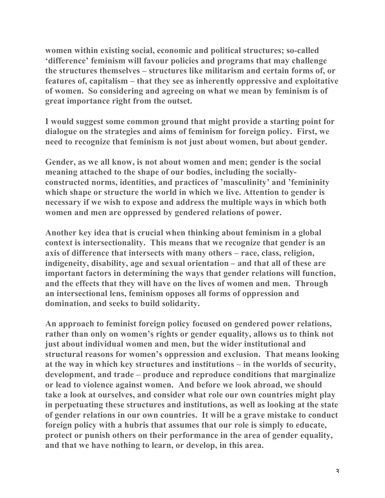**women within existing social, economic and political structures; so-called 'difference' feminism will favour policies and programs that may challenge the structures themselves – structures like militarism and certain forms of, or features of, capitalism – that they see as inherently oppressive and exploitative of women. So considering and agreeing on what we mean by feminism is of great importance right from the outset.**

**I would suggest some common ground that might provide a starting point for dialogue on the strategies and aims of feminism for foreign policy. First, we need to recognize that feminism is not just about women, but about gender.** 

**Gender, as we all know, is not about women and men; gender is the social meaning attached to the shape of our bodies, including the sociallyconstructed norms, identities, and practices of 'masculinity' and 'femininity which shape or structure the world in which we live. Attention to gender is necessary if we wish to expose and address the multiple ways in which both women and men are oppressed by gendered relations of power.**

**Another key idea that is crucial when thinking about feminism in a global context is intersectionality. This means that we recognize that gender is an axis of difference that intersects with many others – race, class, religion, indigeneity, disability, age and sexual orientation – and that all of these are important factors in determining the ways that gender relations will function, and the effects that they will have on the lives of women and men. Through an intersectional lens, feminism opposes all forms of oppression and domination, and seeks to build solidarity.**

**An approach to feminist foreign policy focused on gendered power relations, rather than only on women's rights or gender equality, allows us to think not just about individual women and men, but the wider institutional and structural reasons for women's oppression and exclusion. That means looking at the way in which key structures and institutions – in the worlds of security, development, and trade – produce and reproduce conditions that marginalize or lead to violence against women. And before we look abroad, we should take a look at ourselves, and consider what role our own countries might play in perpetuating these structures and institutions, as well as looking at the state of gender relations in our own countries. It will be a grave mistake to conduct foreign policy with a hubris that assumes that our role is simply to educate, protect or punish others on their performance in the area of gender equality, and that we have nothing to learn, or develop, in this area.**